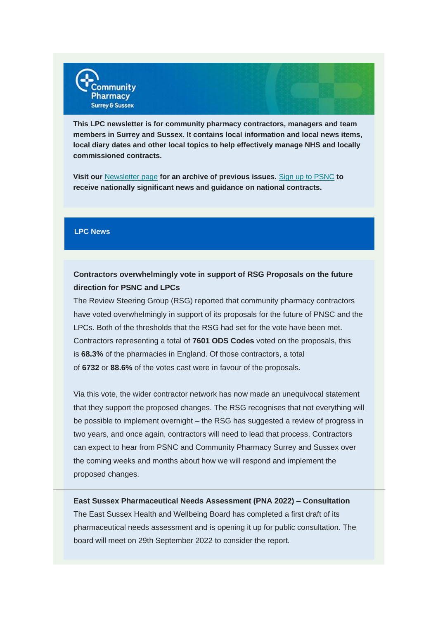

**This LPC newsletter is for community pharmacy contractors, managers and team members in Surrey and Sussex. It contains local information and local news items, local diary dates and other local topics to help effectively manage NHS and locally commissioned contracts.**

**Visit our** [Newsletter page](https://communitypharmacyss.us7.list-manage.com/track/click?u=33f7e892f0f58b8b9ecc659cf&id=fc1d151a74&e=2bf65ab530) **for an archive of previous issues.** Sign [up to PSNC](https://communitypharmacyss.us7.list-manage.com/track/click?u=33f7e892f0f58b8b9ecc659cf&id=672e39501b&e=2bf65ab530) **to receive nationally significant news and guidance on national contracts.**

## **LPC News**

# **Contractors overwhelmingly vote in support of RSG Proposals on the future direction for PSNC and LPCs**

The Review Steering Group (RSG) reported that community pharmacy contractors have voted overwhelmingly in support of its proposals for the future of PNSC and the LPCs. Both of the thresholds that the RSG had set for the vote have been met. Contractors representing a total of **7601 ODS Codes** voted on the proposals, this is **68.3%** of the pharmacies in England. Of those contractors, a total of **6732** or **88.6%** of the votes cast were in favour of the proposals.

Via this vote, the wider contractor network has now made an unequivocal statement that they support the proposed changes. The RSG recognises that not everything will be possible to implement overnight – the RSG has suggested a review of progress in two years, and once again, contractors will need to lead that process. Contractors can expect to hear from PSNC and Community Pharmacy Surrey and Sussex over the coming weeks and months about how we will respond and implement the proposed changes.

**East Sussex Pharmaceutical Needs Assessment (PNA 2022) – Consultation** The East Sussex Health and Wellbeing Board has completed a first draft of its pharmaceutical needs assessment and is opening it up for public consultation. The board will meet on 29th September 2022 to consider the report.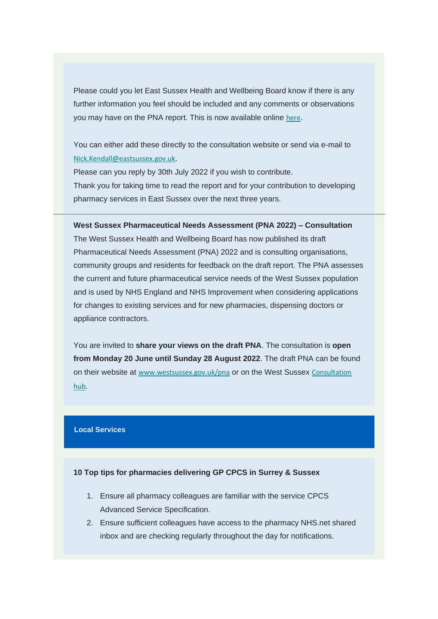Please could you let East Sussex Health and Wellbeing Board know if there is any further information you feel should be included and any comments or observations you may have on the PNA report. This is now available online [here](https://communitypharmacyss.us7.list-manage.com/track/click?u=33f7e892f0f58b8b9ecc659cf&id=720fc9c9e5&e=2bf65ab530).

You can either add these directly to the consultation website or send via e-mail to [Nick.Kendall@eastsussex.gov.uk](mailto:Nick.Kendall@eastsussex.gov.uk).

Please can you reply by 30th July 2022 if you wish to contribute. Thank you for taking time to read the report and for your contribution to developing pharmacy services in East Sussex over the next three years.

**West Sussex Pharmaceutical Needs Assessment (PNA 2022) – Consultation** The West Sussex Health and Wellbeing Board has now published its draft Pharmaceutical Needs Assessment (PNA) 2022 and is consulting organisations, community groups and residents for feedback on the draft report. The PNA assesses the current and future pharmaceutical service needs of the West Sussex population and is used by NHS England and NHS Improvement when considering applications for changes to existing services and for new pharmacies, dispensing doctors or appliance contractors.

You are invited to **share your views on the draft PNA**. The consultation is **open from Monday 20 June until Sunday 28 August 2022**. The draft PNA can be found on their website at [www.westsussex.gov.uk/pna](https://communitypharmacyss.us7.list-manage.com/track/click?u=33f7e892f0f58b8b9ecc659cf&id=48e6840275&e=2bf65ab530) or on the West Sussex [Consultation](https://communitypharmacyss.us7.list-manage.com/track/click?u=33f7e892f0f58b8b9ecc659cf&id=0debd5cfa4&e=2bf65ab530)  [hub](https://communitypharmacyss.us7.list-manage.com/track/click?u=33f7e892f0f58b8b9ecc659cf&id=0debd5cfa4&e=2bf65ab530).

## **Local Services**

### **10 Top tips for pharmacies delivering GP CPCS in Surrey & Sussex**

- 1. Ensure all pharmacy colleagues are familiar with the service CPCS Advanced Service Specification.
- 2. Ensure sufficient colleagues have access to the pharmacy NHS.net shared inbox and are checking regularly throughout the day for notifications.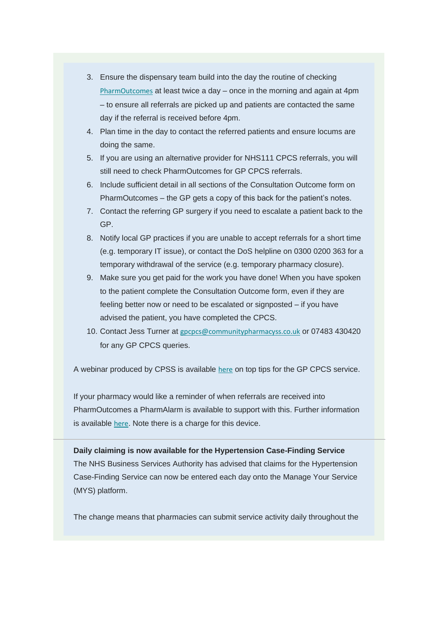- 3. Ensure the dispensary team build into the day the routine of checking [PharmOutcomes](https://communitypharmacyss.us7.list-manage.com/track/click?u=33f7e892f0f58b8b9ecc659cf&id=23fb01642e&e=2bf65ab530) at least twice a day – once in the morning and again at 4pm – to ensure all referrals are picked up and patients are contacted the same day if the referral is received before 4pm.
- 4. Plan time in the day to contact the referred patients and ensure locums are doing the same.
- 5. If you are using an alternative provider for NHS111 CPCS referrals, you will still need to check PharmOutcomes for GP CPCS referrals.
- 6. Include sufficient detail in all sections of the Consultation Outcome form on PharmOutcomes – the GP gets a copy of this back for the patient's notes.
- 7. Contact the referring GP surgery if you need to escalate a patient back to the GP.
- 8. Notify local GP practices if you are unable to accept referrals for a short time (e.g. temporary IT issue), or contact the DoS helpline on 0300 0200 363 for a temporary withdrawal of the service (e.g. temporary pharmacy closure).
- 9. Make sure you get paid for the work you have done! When you have spoken to the patient complete the Consultation Outcome form, even if they are feeling better now or need to be escalated or signposted – if you have advised the patient, you have completed the CPCS.
- 10. Contact Jess Turner at [gpcpcs@communitypharmacyss.co.uk](mailto:gpcpcs@communitypharmacyss.co.uk) or 07483 430420 for any GP CPCS queries.

A webinar produced by CPSS is available [here](https://communitypharmacyss.us7.list-manage.com/track/click?u=33f7e892f0f58b8b9ecc659cf&id=53d2bd6464&e=2bf65ab530) on top tips for the GP CPCS service.

If your pharmacy would like a reminder of when referrals are received into PharmOutcomes a PharmAlarm is available to support with this. Further information is available [here](https://communitypharmacyss.us7.list-manage.com/track/click?u=33f7e892f0f58b8b9ecc659cf&id=a97ab5afdf&e=2bf65ab530). Note there is a charge for this device.

**Daily claiming is now available for the Hypertension Case-Finding Service** The NHS Business Services Authority has advised that claims for the Hypertension Case-Finding Service can now be entered each day onto the Manage Your Service (MYS) platform.

The change means that pharmacies can submit service activity daily throughout the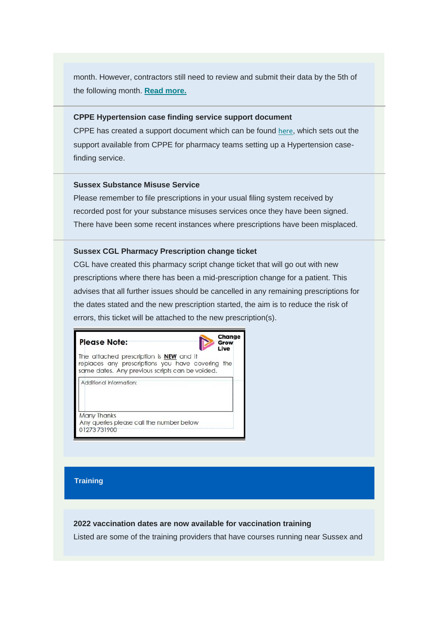month. However, contractors still need to review and submit their data by the 5th of the following month. **[Read more.](https://communitypharmacyss.us7.list-manage.com/track/click?u=33f7e892f0f58b8b9ecc659cf&id=f01b486629&e=2bf65ab530)**

#### **CPPE Hypertension case finding service support document**

CPPE has created a support document which can be found [here](https://communitypharmacyss.us7.list-manage.com/track/click?u=33f7e892f0f58b8b9ecc659cf&id=7ad03b4ea1&e=2bf65ab530), which sets out the support available from CPPE for pharmacy teams setting up a Hypertension casefinding service.

#### **Sussex Substance Misuse Service**

Please remember to file prescriptions in your usual filing system received by recorded post for your substance misuses services once they have been signed. There have been some recent instances where prescriptions have been misplaced.

#### **Sussex CGL Pharmacy Prescription change ticket**

CGL have created this pharmacy script change ticket that will go out with new prescriptions where there has been a mid-prescription change for a patient. This advises that all further issues should be cancelled in any remaining prescriptions for the dates stated and the new prescription started, the aim is to reduce the risk of errors, this ticket will be attached to the new prescription(s).

| <b>Please Note:</b>                                                                                                                               | Change<br>Grow<br>Live |
|---------------------------------------------------------------------------------------------------------------------------------------------------|------------------------|
| The attached prescription is <b>NEW</b> and it<br>replaces any prescriptions you have covering<br>same dates. Any previous scripts can be voided. | the                    |
| Additional Information:                                                                                                                           |                        |
| Many Thanks<br>Any queries please call the number below<br>01273731900                                                                            |                        |

#### **Training**

#### **2022 vaccination dates are now available for vaccination training**

Listed are some of the training providers that have courses running near Sussex and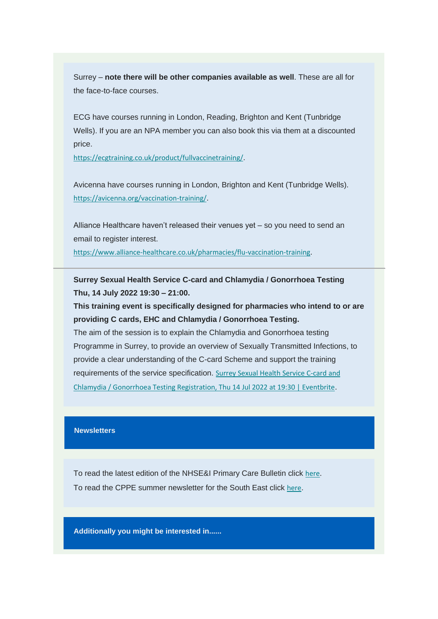Surrey – **note there will be other companies available as well**. These are all for the face-to-face courses.

ECG have courses running in London, Reading, Brighton and Kent (Tunbridge Wells). If you are an NPA member you can also book this via them at a discounted price.

[https://ecgtraining.co.uk/product/fullvaccinetraining/](https://communitypharmacyss.us7.list-manage.com/track/click?u=33f7e892f0f58b8b9ecc659cf&id=721e6d288c&e=2bf65ab530).

Avicenna have courses running in London, Brighton and Kent (Tunbridge Wells). [https://avicenna.org/vaccination-training/](https://communitypharmacyss.us7.list-manage.com/track/click?u=33f7e892f0f58b8b9ecc659cf&id=5e272f0bd5&e=2bf65ab530).

Alliance Healthcare haven't released their venues yet – so you need to send an email to register interest.

[https://www.alliance-healthcare.co.uk/pharmacies/flu-vaccination-training](https://communitypharmacyss.us7.list-manage.com/track/click?u=33f7e892f0f58b8b9ecc659cf&id=b71f1309c2&e=2bf65ab530).

**Surrey Sexual Health Service C-card and Chlamydia / Gonorrhoea Testing Thu, 14 July 2022 19:30 – 21:00.**

**This training event is specifically designed for pharmacies who intend to or are providing C cards, EHC and Chlamydia / Gonorrhoea Testing.**

The aim of the session is to explain the Chlamydia and Gonorrhoea testing Programme in Surrey, to provide an overview of Sexually Transmitted Infections, to provide a clear understanding of the C-card Scheme and support the training requirements of the service specification. [Surrey Sexual Health Service C-card and](https://communitypharmacyss.us7.list-manage.com/track/click?u=33f7e892f0f58b8b9ecc659cf&id=325d62a026&e=2bf65ab530)  [Chlamydia / Gonorrhoea Testing Registration, Thu 14 Jul 2022 at 19:30 | Eventbrite](https://communitypharmacyss.us7.list-manage.com/track/click?u=33f7e892f0f58b8b9ecc659cf&id=325d62a026&e=2bf65ab530).

## **Newsletters**

To read the latest edition of the NHSE&I Primary Care Bulletin click [here](https://communitypharmacyss.us7.list-manage.com/track/click?u=33f7e892f0f58b8b9ecc659cf&id=49dddaede3&e=2bf65ab530). To read the CPPE summer newsletter for the South East click [here](https://communitypharmacyss.us7.list-manage.com/track/click?u=33f7e892f0f58b8b9ecc659cf&id=1bff5749de&e=2bf65ab530).

**Additionally you might be interested in......**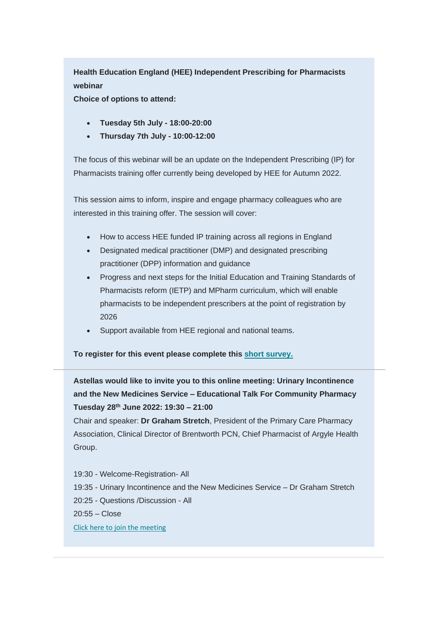**Health Education England (HEE) Independent Prescribing for Pharmacists webinar**

**Choice of options to attend:**

- **Tuesday 5th July - 18:00-20:00**
- **Thursday 7th July - 10:00-12:00**

The focus of this webinar will be an update on the Independent Prescribing (IP) for Pharmacists training offer currently being developed by HEE for Autumn 2022.

This session aims to inform, inspire and engage pharmacy colleagues who are interested in this training offer. The session will cover:

- How to access HEE funded IP training across all regions in England
- Designated medical practitioner (DMP) and designated prescribing practitioner (DPP) information and guidance
- Progress and next steps for the Initial Education and Training Standards of Pharmacists reform (IETP) and MPharm curriculum, which will enable pharmacists to be independent prescribers at the point of registration by 2026
- Support available from HEE regional and national teams.

**To register for this event please complete this [short survey.](https://communitypharmacyss.us7.list-manage.com/track/click?u=33f7e892f0f58b8b9ecc659cf&id=5150c4b3ac&e=2bf65ab530)**

**Astellas would like to invite you to this online meeting: Urinary Incontinence and the New Medicines Service – Educational Talk For Community Pharmacy Tuesday 28th June 2022: 19:30 – 21:00**

Chair and speaker: **Dr Graham Stretch**, President of the Primary Care Pharmacy Association, Clinical Director of Brentworth PCN, Chief Pharmacist of Argyle Health Group.

19:30 - Welcome-Registration- All 19:35 - Urinary Incontinence and the New Medicines Service – Dr Graham Stretch 20:25 - Questions /Discussion - All 20:55 – Close [Click here to join the meeting](https://communitypharmacyss.us7.list-manage.com/track/click?u=33f7e892f0f58b8b9ecc659cf&id=46addd2638&e=2bf65ab530)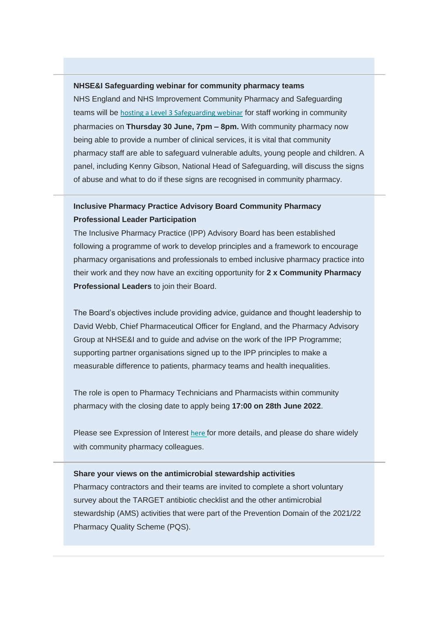#### **NHSE&I Safeguarding webinar for community pharmacy teams**

NHS England and NHS Improvement Community Pharmacy and Safeguarding teams will be [hosting a Level 3 Safeguarding webinar](https://communitypharmacyss.us7.list-manage.com/track/click?u=33f7e892f0f58b8b9ecc659cf&id=f7e31e1249&e=2bf65ab530) for staff working in community pharmacies on **Thursday 30 June, 7pm – 8pm.** With community pharmacy now being able to provide a number of clinical services, it is vital that community pharmacy staff are able to safeguard vulnerable adults, young people and children. A panel, including Kenny Gibson, National Head of Safeguarding, will discuss the signs of abuse and what to do if these signs are recognised in community pharmacy.

# **Inclusive Pharmacy Practice Advisory Board Community Pharmacy Professional Leader Participation**

The Inclusive Pharmacy Practice (IPP) Advisory Board has been established following a programme of work to develop principles and a framework to encourage pharmacy organisations and professionals to embed inclusive pharmacy practice into their work and they now have an exciting opportunity for **2 x Community Pharmacy Professional Leaders** to join their Board.

The Board's objectives include providing advice, guidance and thought leadership to David Webb, Chief Pharmaceutical Officer for England, and the Pharmacy Advisory Group at NHSE&I and to guide and advise on the work of the IPP Programme; supporting partner organisations signed up to the IPP principles to make a measurable difference to patients, pharmacy teams and health inequalities.

The role is open to Pharmacy Technicians and Pharmacists within community pharmacy with the closing date to apply being **17:00 on 28th June 2022**.

Please see Expression of Interest [here](https://communitypharmacyss.us7.list-manage.com/track/click?u=33f7e892f0f58b8b9ecc659cf&id=2ea6ee9af4&e=2bf65ab530) for more details, and please do share widely with community pharmacy colleagues.

#### **Share your views on the antimicrobial stewardship activities**

Pharmacy contractors and their teams are invited to complete a short voluntary survey about the TARGET antibiotic checklist and the other antimicrobial stewardship (AMS) activities that were part of the Prevention Domain of the 2021/22 Pharmacy Quality Scheme (PQS).